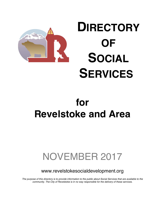

# **DIRECTORY OF SOCIAL SERVICES**

# **for Revelstoke and Area**

# NOVEMBER 2017

www.revelstokesocialdevelopment.org

*The purpose of this directory is to provide information to the public about Social Services that are available to the community. The City of Revelstoke is in no way responsible for the delivery of these services.*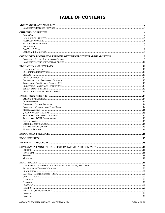# **TABLE OF CONTENTS**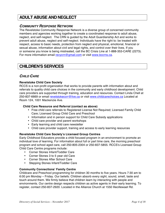# **ADULT ABUSE AND NEGLECT**

## *COMMUNITY RESPONSE NETWORK*

The Revelstoke Community Response Network is a diverse group of concerned community members and agencies working together to create a coordinated response to adult abuse, neglect, and self-neglect. The CRN is guided by the Adult Guardianship Act and works to prevent adult abuse, neglect and self-neglect. Individuals have the right to: be treated with respect, access to basic needs, protection from neglect and physical, emotional, financial or sexual abuse, information about civil and legal rights, and control over their lives. If you or someone you know is being mistreated, call the BC Crisis Line at 1-888-353-CARE (2273). For more information email revycrn@gmail.com or visit www.bccrns.ca.

# **CHILDREN'S SERVICES**

## *CHILD CARE*

## **Revelstoke Child Care Society**

RCCS is a non-profit organization that works to provide parents with information about and referrals to quality child care choices in the community and early childhood development. Child care providers are supported through training, education and resources. Contact Linda Chell at 250-837-6669 or email revelstokeccrr@live.ca or visit www.childcarechoices.ca Located at Room 124, 1001 Mackenzie Ave.

#### **Child Care Resource and Referral (contact as above)**

- Free child care referrals to Registered License Not Required; Licensed Family Child Care; Licensed Group Child Care and Preschool
- Information and in person support for Child Care Subsidy applications
- Child care provider and parent workshops
- Early learning and child care newsletter
- Child care provider support, training and access to early learning resources

## **Revelstoke Child Care Society's Licensed Group Centres**

Early Childhood Educators provide a child focused program in an environment to promote an individual love of learning. For information about full or part time care, the morning preschool program and school aged care, call 250-805-2304 or 250-837-5855. RCCS's Licensed Group Child Care Centre programs include:

- Corner Stones Infant/Toddler Care
- Corner Stones 3 to 5 year old Care
- Corner Stones After School Care
- Stepping Stones Infant/Toddler Care

## **Community Connections' Family Centre**

Childcare and Preschool programming for children 30 months to five years. Hours 7:30 am to 6:00 pm Monday – Friday. Our beliefs: Children absorb every sight, sound, smell, taste and touch around them. We firmly believe that children learn by interacting with people and environments. Our centre design respects children as active agents in their early learning. To register, contact 250-837-2920. Located in the Alliance Church at 1550 Illecillewaet Rd.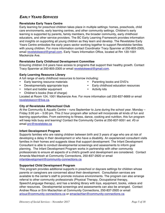# *EARLY YEARS SERVICES*

## **Revelstoke Early Years Centre**

Early learning for preschool children takes place in multiple settings: homes, preschools, child care environments, early learning centres, and other community settings. Children's early learning is supported by parents, family members, the broader community, early childhood educators, and other service providers. The BC Early Learning Framework provides information and insights on supporting all young children as they learn and develop. The Revelstoke Early Years Centre embodies the early years sector working together to support Revelstoke families with young children. For more information contact Coordinator Tracy Spannier at 250-805-2305, email revelstokeecd@gmail.com. Early Years Information Office, located at Rm 120-1001 Mackenzie Ave.

#### **Revelstoke Early Childhood Development Committee**

Ensuring children 0-6 years have access to programs that support their healthy growth. Contact Tracy Spannier at 250-805-2305 or email revelstokeecd@gmail.com.

#### **Early Learning Resource Library**

A full range of early childhood resources to borrow including:

- Early learning resource materials
- Developmentally appropriate toys
- Infant and toddler equipment
- Parenting books and DVD's
- Early childhood education resources
- Activity kits
- Children's books (free of charge)
- Located at Room 124, 1001 Mackenzie Ave. For more information call 250-837-6669 or email revelstokeccrr@live.ca.

#### **City of Revelstoke Afterschool Club**

At the Community & Aquatic Centre – runs September to June during the school year. Monday – Friday 3:00 pm – 5:00 pm. This 2 hour program after school will incorporate all kinds of fun and learning opportunities. From swimming to fitness, dance, cooking and nutrition, this fun program will keep kids busy and learning! Contact the Community Centre at 250-837-9351 ext. #3 or email prc@revelstoke.ca

#### **Infant Development Program**

Supports families who are raising children between birth and 3 years of age who are at risk of developing a delay in their development or who have a disability. An experienced consultant visits families in their homes and suggests ideas that support development. The Infant Development Consultant is able to conduct developmental screenings and assessments to inform goal planning. The Infant Development Program works in partnership with other community professionals to ensure all aspects of a child's growth and development are considered. Contact Amanda MacIntosh at Community Connections, 250-837-2920 or email infantdevelopment@community-connections.ca

#### **Supported Child Development Program**

This program provides additional supports in preschool or daycare settings for children whose parents or caregivers are concerned about their development. Consultation services are available to the center's staff to promote inclusive environments. The program can also arrange referral to other community professionals (Physical Therapy, Occupational therapy, Speech/Language therapy), and has a lending library with toys, equipment, books, videos and other resources. Developmental screenings and assessments can also be arranged. Contact Andree Rioux or Erin Maclachlan at Community Connections, 250-837-2920 or email arioux@community-connections.ca or emaclachlan@community-connections.ca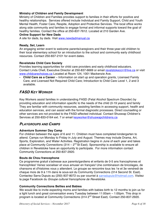## **Ministry of Children and Family Development**

Ministry of Children and Families provides support to families in their efforts for positive and healthy relationships. Services offered include Individual and Family Support, Child and Youth Mental Health, Foster Care, Respite, Adoption and Protective Services. The local office works along side community and families to engage formal and informal supports toward the goal of healthy families. Contact the office at 250-837-7612. Located at 210 Garden Ave.

#### **Online Support for New Dads**

A site for dads, by dads. Visit www.newdadmanual.ca

#### **Ready, Set, Learn**

An engaging winter event to welcome parents/caregivers and their three-year-old children to their local elementary school for an introduction to the school and community early childhood resources. Contact 250-837-2101 for event dates.

## **Revelstoke Child Care Society**

Provides learning opportunities for child care providers and early childhood educators. Contact Linda Chell, Executive Director at 250-837-6669 or email revelstokeccrr@live.ca or visit www.childcarechoices.ca Located at Room 124, 1001 Mackenzie Ave.

• **Child Care as a Career** – Information on start up and operation grants, Licensed Family Care, and Licensed Not Required Child Care; Introduction to Child Care Level 1, 2 and 3 available.

## *FASD KEY WORKER*

Key Workers assist families in understanding FASD (Fetal Alcohol Spectrum Disorder) by providing education and information specific to the needs of the child (0-19 years) and family They are familiar with community resources, assisting families in accessing support, health and education services, and can assist with the formal diagnostic processes. Direct counselling or other services are not provided to the FASD-affected individual. Contact Shuswap Children's Services at 250-833-0164 ext. 7 or email keyworker@shuswapchildrens.ca

## *PLAYGROUPS AND CAMPS*

## **Adventure Summer Day Camp**

For children between the ages of 6 and 11. Children must have completed kindergarten to attend. Camps run Monday to Friday in July and August. Themes may include Drama, Art, Sports, Exploration, and Water Activities. Registration begins in June of each year and takes place at Community Connections  $(314 - 2^{nd} \text{St East})$ . Sponsorship is available to ensure all children in Revelstoke have an opportunity to participate. For more information contact Community Connections at 250-837-2920.

## **Bouts de Chou francophone**

Ce programme gratuit s'adresse aux parents/gardiens et enfants de 0-5 ans francophones et francophiles! Venez socialiser et vous amuser en français! Une combinaison de bricolages, de chansons et d'histoires vous y attendent. Le groupe se rencontre tous les 1e et 3e vendredi de chaque mois de 9 à 11h dans le sous-sol du Community Connections (314 Second St. East). Contactez Sarra Dupuis au (250) 837-8072 ou par courriel à sarradupuis@hotmail.com. Visitez la page Facebook du *Groupe culturel francophone de Revelstoke*.

## **Community Connections Bellies and Babies**

We would like to invite expecting moms and families with babies birth to 12 months to join us for a light lunch and great conversation every Tuesday between 11:00am – 1:00pm. This drop in program is located at Community Connections (314 2nd Street East). Contact 250-837-2920.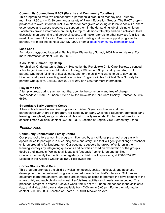## **Community Connections PACT (Parents and Community Together)**

This program delivers two components: a parent-child drop-in on Monday and Thursday mornings (9:30 am – 12:30 pm), and a variety of Parent Education Groups. The PACT drop-in provides a relaxed, informal, inclusive place for caregivers of young children to socialize, share experiences and access resources to support them in the demanding job of raising children. Facilitators provide information on family life topics, demonstrate play and craft activities, lead discussions on parenting and personal issues, and make referrals to other services families may need. The Parent Education Groups provide skill building and mutual support programs for parents. For more info contact 250-837-2920 or email pact@community-connections.ca

## **Leap Land**

An indoor playground located at Begbie View Elementary School, 1001 Mackenzie Ave. For more information contact 250-837-6669.

#### **Kids Rock Summer Day Camp**

For children Kindergarten to Grade 4. Hosted by the Revelstoke Child Care Society. Licensed school-aged Centre is open Monday to Friday, 7:30 am to 5:30 pm in July and August. For parents who need full time or flexible care, and for the child who wants to go to day camp. Licensed staff provide exciting weekly activities. Program eligible for Child Care Subsidy to parents who qualify. Call 250-805-2304 or 250-847-6669 for more information.

#### **Play in the Park**

A fun playgroup during summer months; open to the community and free of charge. Wednesdays 10 am –12 noon. Offered by the Revelstoke Child Care Society. Contact 250-837- 6669.

#### **StrongStart Early Learning Centre**

A free school-based interactive program for children 5 years and under and their parent/caregiver. A drop-in program, facilitated by an Early Childhood Educator, promotes early learning through art, songs, stories and play with quality materials. For further information on specific times available, contact 250-805-2306. Located at Begbie View Elementary School.

## *PRESCHOOLS*

## **Community Connections Family Centre**

Our preschool offers a morning program influenced by a traditional preschool program with opportunities to participate in a learning circle and story time that will gently challenge preschool children preparing for kindergarten. Our educators support the growth of children in their learning journeys by integrating questions and activities based on observation of the group's desires and interests. We invite all ideas and feedback from children and families. Contact Community Connections to register your child or with questions, at 250-837-2920. Located in the Alliance Church at 1550 Illecillewaet Rd.

#### **Corner Stones Child Care**

This program promotes the child's physical, emotional, social, intellectual, and aesthetic development. A theme-based program is geared towards the child's interests. Children and educators learn through play. Materials are carefully selected to promote the development of the whole child, and each child's individual likes/dislikes, abilities and needs are respected. The preschool program is offered 5 days a week from 9 am to 12 noon, embedded in the child care day, and all day child care is also available from 7:00 am to 6:00 pm. For further information contact 250-805-2304, Located at Room 127, 1001 Mackenzie Ave.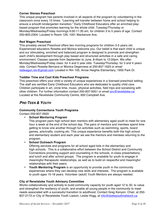## **Corner Stones Preschool**

This unique program has parents involved in all aspects of the program by volunteering in the classroom once every 15 times. "Learning will transfer between home and school helping to ensure a smooth kindergarten transition." Early Childhood Educators offer an enriched playbased program that promotes learning for the whole child. Tuesday/Thursday or Monday/Wednesday/Friday mornings 9:00-11:30 am, for children 3 to 5 years of age. Contact 250-805-2304. Located in Room 129, 1001 Mackenzie Ave.

#### **Red Wagon Preschool**

This privately owned Preschool offers two morning programs for children 3-5 years old. Experienced educators Rosetta and Monica welcome you. Our belief is that each child is unique and our stimulating, enriched and balanced program is designed to promote and strengthen each child's development through play based and structured activities in a safe and caring environment. Classes operate from September to June, 8:45am to 12:00pm. We offer: Monday/Wednesday/Friday class: for 4 and 5 year olds. Tuesday/Thursday: for 3 and 4 years olds. Contact Rosetta Bernava or Monica Degerness at 250-837-1623 or email redwagon.rev@gmail.com Located in Rm 105, Arrow Heights Elementary, 1950 Park Dr.

## **Toddler Time and Cool Kids Preschool Programs**

This preschool offers your child a variety of unique experiences in a licensed preschool setting. The staff are certified Early Childhood Educators who are dedicated to quality child care. Children participate in art, circle time, music, physical activities, field trips and socializing with other children. For further information contact 250-837-9351 or email prc@revelstoke.ca Located at the Revelstoke Community Centre, 600 Campbell Ave.

## *PRE-TEEN & YOUTH*

## **Community Connections Youth Programs**

Contact 250-837-2920

## • **School Mentoring Program**

This program pairs high school teen mentors with elementary aged youth to meet for one hour a week at the end of the school day. The pairs of mentors and mentees spend time getting to know one another through fun activities such as swimming, sports, board games, arts/crafts, cooking etc. This unique experience benefits both the high school and elementary student and each year we see the mentors and mentees returning to the program.

• **School Outreach Program**

Offering services and programs for all school aged kids in the elementary and high schools. This is a collaborative effort between the School District and Community Connections providing support and counselling in the schools, in-class presentations, and lunch and after school groups. The program is available for youth to engage in meaningful therapeutic relationships, as well as to build on respectful and meaningful relationships with their peers.

• **Youth Mentoring Program** is an opportunity to provide youth in the community experiences where they can develop new skills and interests. The program is available to youth ages 10-18 years. Volunteer (adult) Youth Mentors are always needed.

## **City of Revelstoke Youth Advisory Committee**

Works collaboratively and actively to build community capacity for youth aged 12 to 30, to value and strengthen the resiliency of youth, and enable all young people in the community to meet needs associated with a successful transition to adulthood. Contact Greg Kenyon, Chair, at 250- 837-2173 or City of Revelstoke Youth Liaison, Leslie Hogg, at info@stokeyouthnetwork.ca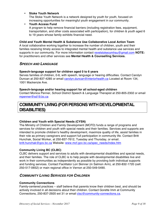#### • **Stoke Youth Network**

The Stoke Youth Network is a network designed by youth for youth, focused on increasing opportunities for meaningful youth engagement in our community.

#### • **Youth Access Fund**

A program to help remove financial barriers (including registration fees, equipment, transportation, and other costs associated with participation), for children & youth aged 6 to 19 years whose family exhibits financial need.

## **Child and Youth Mental Health & Substance Use Collaborative Local Action Team**

A local collaborative working together to increase the number of children, youth and their families receiving timely access to integrated mental health and substance use services and supports in our community. For more information contact revelstokecymhsu@gmail.com **NOTE:**  for practitioners and other services see **Mental Health & Counselling Services.**

## *SPEECH AND LANGUAGE*

## **Speech-language support for children aged 0 to 6 years**

Serves families of children, 0-6, with speech, language or hearing difficulties. Contact Carolyn Duncan at 250-837-4285 or email carolyn.duncan@interiorhealth.ca Located at Room 134, 1001 Mackenzie Ave.

#### **Speech-language and/or hearing support for all school-aged children**

Contact Monica Penner, School District Speech & Language Therapist at 250-805-2302 or email mpenner@sd19.bc.ca

# **COMMUNITY LIVING (FOR PERSONS WITH DEVELOPMENTAL DISABILITIES)**

## **Children and Youth with Special Needs (CYSN)**

The Ministry of Children and Family Development (MCFD) funds a range of programs and services for children and youth with special needs and their families. Services and supports are intended to promote children's healthy development, maximize quality of life, assist families in their role as primary caregivers and support full participation in community life. Contact Britt Hunchak, Social Worker, at 250-837-7612, Tuesday and Thursday, or email britt.hunchak@gov.bc.ca Website: www.mcf.gov.bc.ca/spec\_needs/index.htm

## **Community Living BC (CLBC)**

CLBC delivers support and services to adults with developmental disabilities and special needs, and their families. The role of CLBC is to help people with developmental disabilities live and work in their communities as independently as possible by providing both individual supports and funding services. Contact Facilitator Lori Skinner (in Salmon Arm), at 250-832-1720 (cell: 250-517-0652) or main regional office in Vernon at 250-549-5490.

## *COMMUNITY LIVING SERVICES FOR CHILDREN*

#### **Community Connections**

Family-centered practices – staff believe that parents know their children best, and should be actively involved in all decisions about their children. Contact Gorette Imm at Community Connections, 250-837-2920 ext 31 or email clsc@community-connections.ca.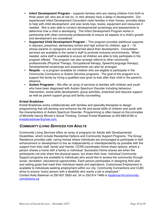- **Infant Development Program** supports families who are raising children from birth to three years old, who are at risk for, or who already have a delay in development. Our experienced Infant Development Consultant visits families in their homes, provides ideas to help with child development, and also lends toys, books, equipment and resources if needed. She is also able to conduct developmental screenings and assessments to determine how a child is developing. The Infant Development Program works in partnership with other community professionals to ensure all aspects of a child's growth and development are considered.
- **Supported Child Development Program**  This program provides additional supports in daycare, preschool, elementary school and high school for children, age 3 – 19, whose parents or caregivers are concerned about their development. Consultation services are available to the center's staff to promote inclusive environments. When needed, extra staff is available to ensure all children are able to fully participate in the program offered. The program can also arrange referral to other community professionals (Physical Therapy, Occupational therapy, Speech/Language therapy). Developmental screenings and assessments can also be arranged.
- **Respite** is a program available for children who are eligible to participate in the Community Connectors or Autism Services programs. The goal of the program is to support the family by hiring a qualified care giver to look after their child in the parent's absence.
- **Autism Programs** We offer an array of services to families with children and youth who have been diagnosed with Autism Spectrum Disorder including behaviour intervention, social skills development, group activities, preschool and daycare support as well as parent support group and family counselling.

## **Kristal Bradshaw**

Kristal Bradshaw works collaboratively with families and specialty therapists to design programming that will develop and enhance the life and social skills of children and youth with the characteristics of Autism Spectrum Disorder. Programming is often based on the principles of Michelle Garcia Winner's Social Thinking. Contact Kristal Bradshaw at 250-683-8180 or kristalbradshaw@gmail.com.

## *COMMUNITY LIVING SERVICES FOR ADULTS*

Community Living Services offers an array of programs for Adults with Developmental Disabilities, which include Residential Options and Community Support Programs. The Group Residence provides safe, caring homes where individuals are encouraged to participate in skill enhancement or development to live as independently or interdependently as possible with the support from their staff, family and friends. CCRS coordinates Home share options; where a person shares a home with a family or individual. Successful Home shares are when the participants not only share the physical space, but share their lives. Individual Community Support programs are available to individuals who would like to access the community through social, recreation, educational opportunities. Each person participates in designing their plan and setting goals that meet their individual needs and aspirations. Customized Employment is available to individuals seeking employment within our city. Community Connections and CLBC strive to ensure "every person with a disability who wants a job is employed." Contact Kelly Bateman at 250 837 2920 ext. 34 or 250 814 7468 or kbateman@communityconnections.ca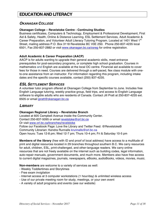# **EDUCATION AND LITERACY**

## *OKANAGAN COLLEGE*

## **Okanagan College – Revelstoke Centre - Continuing Studies**

Business certificates, Computers & Technology, Employment & Professional Development, First Aid & Safety, Health, Online & Distance Learning, ESL Settlement Services, Adult Academic & Career Preparation, and Volunteer Adult Literacy Tutoring Program. Located at 1401 West 1<sup>st</sup> Street, mailing address P.O. Box 3118 Revelstoke BC V0E 2S0. Phone 250-837-4235 local 6501, Fax 250-837-2882 or visit www.okanagan.bc.ca/csreg for online registration.

## **Adult Academic & Career Preparation (AACP)**

AACP is for adults wanting to upgrade their general academic skills, meet entrance prerequisites for post-secondary programs, or complete high school graduation. Courses in mathematics and English are available at the local OC centre. Financial aid available to cover fees for those in need. Courses are delivered through a self-paced, flex class module with oneto-one assistance from an instructor. For information regarding this program, including intake dates and the specific courses available, contact (250) 837-4235.

## *ESL SETTLEMENT SERVICES*

A volunteer tutor program offered at Okanagan College from September to June. Includes free English Language tutoring, weekly practice group, field trips, and access to English Language software to eligible adults who are residents of Canada. Contact Jill Pratt at 250-837-4235 ext. 6505 or email jpratt@okanagan.bc.ca

## *LIBRARY*

## **Okanagan Regional Library – Revelstoke Branch**

Located at 605 Campbell Avenue inside the Community Center. Contact 250-837-5095 or email revelstoke@orl.bc.ca Or visit www.orl.bc.ca/branches/revelstoke Follow our Facebook Page: Love the Library and Twitter Feed: @RevelstokeB Community Librarian: Kendra Runnalls krunnalls@orl.bc.ca Open hours: Tues 12-8 pm; Wed 12-7 pm; Thurs 10-4 pm; Fri & Saturday 10-5 pm

**Members of the library** (free with ID and proof of local address) have access to a multitude of print and digital resources located in 29 branches throughout southern B.C. We carry resources for adult, children, ESL, print-challenged, and other-language readers. We carry online resources that are not freely available on the internet such as building codes, legal information, auto-repair manuals, government documents, and much more. Members also have free access to current digital magazines, journals, newspapers, eBooks, audioBooks, videos, movies, music.

**Non-members** are welcome to a variety of services as well:

- Weekly Toddlertimes and Storytimes
- Free exam invigilation
- Internet access at 3 computer workstations (1 hour/day) & unlimited wireless access
- Use of our private meeting room for study, meetings, or your own event
- A variety of adult programs and events (see our website)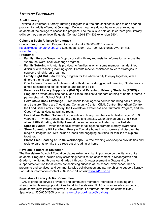## *LITERACY PROGRAMS*

## **Adult Literacy**

Revelstoke Volunteer Literacy Tutoring Program is a free and confidential one to one tutoring program for adults offered at Okanagan College. Learners do not have to be enrolled as students at the college to access the program. The focus is to help adult learners gain literacy skills so they can achieve life goals. Contact 250-837-4235 extension 6504.

## **Columbia Basin Alliance for Literacy**

Contact Tracy Spannier, Program Coordinator at 250-805-2305 or email revelstokecoordinator@cbal.org Located at Room 120, 1001 Mackenzie Ave. or visit www.cbal.org

## **Programs:**

- **Family Literacy Drop-In** Drop by or call with any requests for information or to use the 'Share the Word' book exchange program.
- **Family Tutoring** A tutor is provided to families in which some member has identified difficulty with reaching learning goals. Parents receive assistance to learn strategies to support their children's learning.
- **Family Night Out**  An evening program for the whole family to enjoy together, with a different theme each week.
- **One to one** Trained volunteers work with students struggling with reading. Strategies are aimed at increasing self-confidence and reading skills.
- **Parents as Literacy Supporters (PALS) and Parents of Primary Students (POPS)**  Programs provide activities, tools, and kits to families to support learning at home. Offered in partnership with School District #19.
- **Revelstoke Book Exchange**  Free books for all ages to borrow and bring back or keep and treasure. There are 7 locations: Community Center, CBAL Centre, StrongStart Centre, the Food Bank Family Laundry, the Revelstoke Awareness and Outreach Program, and the Queen Victoria Hospital waiting room.
- **Revelstoke Mother Goose**  For parents and family members with children aged 0 to 3 years old – rhymes, songs, stories, giggles and snacks. Older siblings aged 3 to 5 can attend **Little Gosling Activity Time** at the same time – facilitated by qualified staff.
- **Special Events**  watch for special events for all ages to promote literacy awareness.
- **Story Adventure Kit Lending Library**  Fun take home kits to borrow and discover the magic of imagination. Kits include a book and engaging activities for families to explore together.
- **Stress Free Reading at Home Workshops**  A free evening workshop to provide tips and tools to parents to take the stress out of reading at home.

## **Revelstoke Board of Education**

The Revelstoke Board of Education places extremely high importance on the literacy of its students. Programs include early screening/identification assessment in Kindergarten and Grade 1; monitoring throughout Grades 1 through 3; reassessment in Grades 4 to 9; support/intervention for students not achieving success at the school level; school library programs and services; and community-wide collaboration and partnerships to support literacy. For further information contact 250-837-2101 or visit www.sd19.bc.ca

## **Revelstoke Literacy Action Committee**

RLAC is group of service providers and community members interested in creating and strengthening learning opportunities for all in Revelstoke. RLAC acts as an advisory body to guide community literacy initiatives in Revelstoke. For further information contact Tracy Spannier at 250-805-2305 or email revelstokecoordinator@cbal.org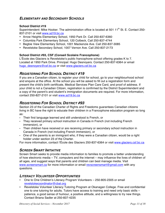## *ELEMENTARY AND SECONDARY SCHOOLS*

## **School District #19**

Superintendent: Mike Hooker. The administration office is located at 501 11<sup>th</sup> St. E. Contact 250-837-2101 or visit www.sd19.bc.ca

- Arrow Heights Elementary School, 1950 Park Dr. Call 250-837-6360
- Columbia Park Elementary School, 120 Colbeck, Call 250-837-4744
- Begbie View Elementary School, 1001 Mackenzie Ave. Call 250-837-3085
- Revelstoke Secondary School, 1007 Vernon Ave. Call 250-837-2173

## **School District #93, CSF (Conseil Scolaire Francophone)**

L'École des Glaciers is Revelstoke's public francophone school offering grades K to 7. Located at 1950 Park Drive. Principal: Hugo Desnoyers. Contact 250-837-6364 or email hugo\_desnoyers@csf.bc.ca or visit www.glaciers.csf.bc.ca

## *REGISTERING FOR SCHOOL DISTRICT #19*

If you are a Canadian citizen, to register your child for school, go to your neighbourhood school and enquire at the office. At the school you will be asked to fill out a registration form and present the child's birth certificate, Medical Services Plan Care Card, and proof of address. If your child is not a Canadian Citizen, registration is confirmed by the District Superintendent and a copy of the parent's and student's immigration documents are required. For more information, contact 250-827-2101 or visit www.sd19.bc.ca

## *REGISTERING FOR SCHOOL DISTRICT #93*

Section 23 of the Canadian Charter of Rights and Freedoms guarantees Canadian citizens living in BC have the right to educate their children in a Francophone education program so long as:

- Their first language learned and still understood is French, or
- They received primary school instruction in Canada in French (not including French immersion), or
- Their children have received or are receiving primary or secondary school instruction in Canada in French (not including French immersion), or
- One of the parents is an immigrant who, if they were a Canadian citizen, would be a right holder under section 23 of the Charter.

For more information, contact l'École des Glaciers 250-837-6364 or visit www.glaciers.csf.bc.ca

## *SCREEN SMART INITIATIVE*

Screen Smart seeks to provide media information to families to promote a better understanding of how electronic media – TV, computers and the internet – may influence the lives of children of all ages, and suggest ways that parents and children can best manage media. Visit www.screensmart.ca for more information or email revscreensmart@gmail.com with any questions.

## *LITERACY VOLUNTEER OPPORTUNITIES*

- One to One Children's Literacy Program Volunteers 250-805-2305 or email revelstokecoordinator@cbal.org
- Revelstoke Volunteer Literacy Tutoring Program at Okanagan College. Free and confidential one to one tutoring for adults. Tutors have access to training and need only basic skills – patience, a good sense of humour, a positive attitude, and a willingness to try new things. Contact Briana Sadler at 250-837-4235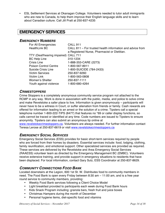• ESL Settlement Services at Okanagan College. Volunteers needed to tutor adult immigrants who are new to Canada, to help them improve their English language skills and to learn about Canadian culture. Call Jill Pratt at 250-837-4235

# **EMERGENCY SERVICES**

## *EMERGENCY NUMBERS*

| For All Emergencies                  | <b>CALL 911</b>                                           |
|--------------------------------------|-----------------------------------------------------------|
| <b>HealthLink BC</b>                 | CALL 811 – For trusted health information and advice from |
|                                      | a Registered Nurse, Pharmacist or Dietitian.              |
| TTY (Deaf/hearing impaired) CALL 711 |                                                           |
| <b>BC Help Line</b>                  | 310-1234                                                  |
| Crisis Line                          | 1-888-353-CARE (2273)                                     |
| <b>Poison Control Centre</b>         | 1-800-567-8911                                            |
| Suicide Crisis Line                  | 1-800-SUICIDE (784-2433)                                  |
| <b>Victim Services</b>               | 250-837-9260                                              |
| <b>Victim Link</b>                   | 1-800-563-0808                                            |
| Women's Shelter                      | 250-837-1111                                              |
| Youth against violence               | 1-800-680-4264                                            |

## *CRIMESTOPPERS*

Crime Stoppers is a completely anonymous community service program not attached to the RCMP in any way. Work is done in association with the public, media, and police to solve crime and make Revelstoke a safer place to live. Information is given anonymously – participants will never have to be a witness in Court, or suffer alienation from friends or family. Cash rewards are offered for information leading to an arrest or the solution of a crime. Tipsters call a special telephone number 1-800-222-TIPS (8477) that features no \*69 or caller display functions, so calls cannot be traced or identified at any time. Code numbers are issued to Tipsters to ensure anonymity. Tipsters can also submit an anonymous tip online at

www.revelstokecrimestoppers.ca. Volunteers are always needed. For further information contact Teresa Lerose at 250-837-6619 or visit www.revelstokecrimestoppers.ca

## *EMERGENCY SOCIAL SERVICES*

Emergency Social Services (ESS) provides for basic short-term services required by people who are forced from their homes by disasters. Essential services include: food, lodging, clothing, family reunification, and emotional support. Other specialized services are provided as required. These services are delivered by the Revelstoke and Area Emergency Social Services (RAAESS) volunteer team as directed by the Emergency Management BC (EMBC). Volunteers receive extensive training, and provide support in emergency situations to residents that have been displaced. For local information, contact Gary Sulz, ESS Coordinator at 250-837-8629.

## *COMMUNITY CONNECTIONS FOOD BANK*

Located downstairs at the Legion, 600 1st St. W. Distributes food to community members in need. The Food Bank is open every Friday between 8:30 am – 11:00 am, and is a free year round service to community members, providing:

- Weekly Food Bank services following a Client Choice Model
- Light breakfast provided to participants each week during Food Bank hours
- Kids Snack Program including: granola bars, fresh fruit and juice boxes
- Christmas Hampers during the month of December
- Personal hygiene items, diet-specific food and vitamins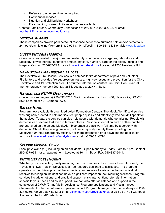- Referrals to other services as required
- Confidential services
- Nutrition and skill building workshops
- Free clothing, household items etc. when available

Contact Patti Larson, Community Connections at 250-837-2920, ext. 28, or email foodbank@community-connections.ca.

## *MEDICAL ALARMS*

These companies provide paid personal response services to summon help and/or detect falls 24 hours/day. Lifeline (Vernon) 1-800-994-8414. Lifecall: 1-800-661-5433 or visit www.lifecall.ca

## *QUEEN VICTORIA HOSPITAL*

Offers services related to major trauma, maternity, minor elective surgeries, laboratory and radiology, physiotherapy, outpatient ambulatory care, nutrition, care for the elderly, respite and hospice. Contact 250-837-2131 or visit www.interiorhealth.ca Located at 1200 Newlands Rd.

## *REVELSTOKE FIRE RESCUE SERVICES*

The Revelstoke Fire Rescue Services is a composite fire department of paid and Volunteer Firefighters and provides fire suppression, rescue, highway rescue and prevention for the City of Revelstoke and it's protection area. For further information contact Fire Chief Rob Girard at (non-emergency number) 250-837-2884. Located at 227 4th St W.

## *REVELSTOKE RCMP DETACHMENT*

Contact (non-emergency) 250-837-5255. Mailing address P.O Box 1480, Revelstoke, BC V0E 2S0. Located at 404 Campbell Ave.

## *SAFELY HOME*

Program now available through MedicAlert Foundation Canada. The MedicAlert ID and service was originally created to help medics treat people quickly and effectively who couldn't speak for themselves. Today, the service can also help people with dementia who go missing. People with dementia can become lost even in familiar places. Personal information and a hotline number are engraved on the unique MedicAlert blue bracelet that's worn full-time by a person with dementia. Should they ever go missing, police can quickly identify them by calling the MedicAlert 24-hour Emergency Hotline. For more information or to download the application form, visit www.medicalert.ca/safely-home or call 1-855-581-3794.

## *SELKIRK MEDICAL CLINIC*

Local physicians (16) including an on-call doctor. Open Monday to Friday 9 am to 7 pm. Contact 250-837-9321 for an appointment. Located at 101  $1^{st}$  St. W. Fax: 250-837-9444.

## *VICTIM SERVICES (RCMP)*

Whether you are a victim, family member, friend or a witness of a crime or traumatic event, the Revelstoke RCMP Victim Services is a free resource designed to assist you. The program operates on the philosophy that the immediacy and nature of assistance that an individual receives following an incident can have a significant impact on their resulting wellness. Program services include emotional and practical support, crisis intervention, referrals, information specific to your needs and court support. We can also offer assistance and support in the completion of CVAP (Crime Victim Assistance Program) applications and Victim Impact Statements. For further information please contact Program Manager, Stephanie Melnyk at 250- 837-9260, Fax 250-837-5033 or email victim.services@revelstoke.ca or visit us at 404 Campbell Avenue, at the RCMP detachment.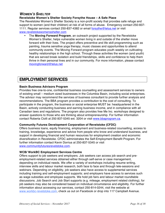## *WOMEN'S SHELTER*

**Revelstoke Women's Shelter Society Forsythe House – A Safe Place**

The Revelstoke Women's Shelter Society is a non-profit society that provides safe refuge and support to women (and their children) at risk of all forms of abuse. Emergency contact 250-837- 1111. Regular services contact 250-837-4382 or email forsythe@telus.net or visit www.revelstokewomensshelter.com

• The **Moving Forward Program**, an outreach project supported by the Revelstoke Women's Shelter, helps vulnerable women living in and outside of the shelter move forward with their lives. The project offers preventive and life skill programming such as painting, trauma sensitive yoga therapy, music classes and opportunities to attend community events. The Moving Forward program educates youth weekly on cultivating healthy relationships in the high school. Through these activities the women (and youth) that are served break isolation and build friendships, skills and confidence to help them thrive in their personal lives and in our community. For more information, please contact movingforward@telus.net

# **EMPLOYMENT SERVICES**

## **Basin Business Advisors Program**

Provides free one-to-one, confidential business counselling and assessment services to owners of existing small – medium sized businesses in the Columbia Basin, including social enterprises. The advisor may recommend the services of business consultant to provide further analysis and recommendations. The BBA program provides a contribution to the cost of consulting. To participate in the program, the business or social enterprise MUST be: headquartered in the Basin, actively conducting business and earning business income, and in compliance with all Canadian laws and regulations. The program also provides free Me Inc. workshops designed to answer questions to those who are thinking about entrepreneurship. For further information contact Roberta Ciolli at 250 837-5345 ext. 3204 or visit www.bbaprogram.ca.

## **Community Futures Development Corporation of Revelstoke (CFDC)**

Offers business loans, equity financing, employment and business-related counselling, access to training, knowledge, experience and advice from people who know and understand business, and support in developing financial and human resources for employment creation and economic diversification in Revelstoke. CFDC administrates the Self-Employment Benefit Program. For further information contact Kevin Dorrius at 250-837-5345 or visit www.communityfuturesrevelstoke.com.

## **WCB/ WorkBC Employment Services Centre**

Offers support to job seekers and employers. Job seekers can access job search and preemployment-related services obtained either through self-serve or case management, depending on individual needs. We offer a variety of workshops including resume writing, interview skills and labour market research, both face to face and through tele-sessions and webinars. Depending on eligibility, job seekers also have access to supplemental services including training and self-employment supports; and employers have access to services such as wage subsidies and employee supports. We hold job fairs and labour market roundtable discussions. Job Search and Job Start supports (e.g. mileage, employment related clothing), for job seekers may also be considered based on individual circumstance and eligibility. For further information about accessing our services, contact 250-814-0244, visit the website at www.workbc-revelstoke.com, check us out on Facebook or drop into 117 Campbell Avenue.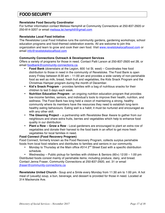# **FOOD SECURITY**

## **Revelstoke Food Security Coordinator**

For further information contact Melissa Hemphill at Community Connections at 250-837-2920 or 250-814-3207 or email melissa.lei.hemphill@gmail.com

#### **Revelstoke Local Food Initiative**

The Revelstoke Local Food Initiative runs the community gardens, gardening workshops, school education programs and food-themed celebration events. All are welcome to join this organization and learn to grow and cook their own food. Visit www.revelstokelocalfoood.com or email info@revelstokelocalfood.com

#### **Community Connections Outreach & Development Services**

Offers a variety of programs for those in need. Contact Patti Larson at 250-837-2920 ext 28, or email foodbank@community-connections.ca.

- **Food Bank** (downstairs at the Legion, 600 1st St. west) Coordinates free food distribution to those in need in the community of Revelstoke. The Food Bank is open every Friday between 8:30 am – 11:00 am and provides a wide variety of non-perishable food as well as milk, bread, fresh fruit and vegetables, the Kids Snack Program and the Christmas Hamper program during the month of December.
- **Kid's Snack Program** provides families with a bag of nutritious snacks for their children to last 5 days each week.
- **Nutrition Education Program**  an ongoing nutrition education program that provides low-income families, seniors, and individual's tools to improve their health, nutrition, and wellness. The Food Bank has long held a vision of maintaining a strong, healthy community where its members have the resources they need to establish long-term healthy eating behaviours. Eating well is a habit; it must be nurtured and encouraged as with any other skill.
- **The Gleaning Project** a partnership with Revelstoke Bear Aware to gather from our neighbours and share extra fruits, berries and vegetables which help to enhance food quality in our distribution.
- **Plant a Row – Grow a Row** Local gardeners are encouraged to plant an extra row of vegetables and donate their harvest to the food bank in an effort to get more fresh vegetables for local families in need.

#### **Food Connect (Food Recovery Program)**

Food Connect, formerly known as the Food Recovery Program, collects surplus perishable foods from local food retailers and distributes to families and seniors in our community.

- Monday to Thursday at the Main office  $#314$   $2^{nd}$  Street East with a specific distribution schedule.
- Wednesday Public pickup for families with children & Seniors  $(60+)$  12:00 1:00 pm

Distributed foods consist mainly of perishable items; including produce, dairy, and bread. Contact Jenna Fraser, Community Connections at 250-837-2920, ext. 31 or email jfraser@community-connections.ca

**Revelstoke United Church** - Soup and a Smile every Monday from 11:30 am to 1:00 pm. A hot meal of (usually) soup, a bun, beverage, and dessert is provided for those in need. Located at 314 Mackenzie Ave.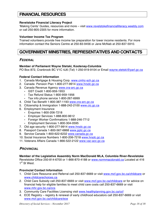# **FINANCIAL RESOURCES**

#### **Revelstoke Financial Literacy Project**

'Making Cents' Guides, resources and more – visit www.revelstokefinancialliteracy.weebly.com or call 250-805-2305 for more information.

#### **Volunteer Income Tax Program**

Trained volunteers provide free income tax preparation for lower income residents. For more information contact the Seniors Centre at 250-83-9456 or Jane McNab at 250-837-5910.

# **GOVERNMENT MINISTRIES, REPRESENTATIVES AND CONTACTS**

## *FEDERAL*

#### **Member of Parliament Wayne Stetski, Kootenay-Columbia**

PO Box 872, Cranbrook BC V1C 4J6 (Tel) 1-250-919-9104 or Email wayne.stetski@parl.gc.ca

#### **Federal Contact Information**

- 1. Canada Mortgage & Housing Corp. www.cmhc-sch.gc.ca
- 2. Canada Pension Plan 1-800-277-9914 www.hrsdc.gc.ca
- 3. Canada Revenue Agency www.cra-arc.gc.ca
	- GST Credit 1-800-959-1953
	- Tax Refund Status 1-800-959-1956
	- Tax info phone service 1-800-267-6999
- 4. Child Tax Benefit 1-800-387-1193 www.cra-arc.gc.ca
- 5. Citizenship & Immigration 1-888-242-2100 www.cic.gc.ca
- 6. Employment Insurance
	- Enquiries 1-800-206-7218
	- Employer Services 1-888-800-9612
	- Foreign Worker Confirmations 1-888-246-7712
	- Employment Services 1-800-304-0595
- 7. Old age security 1-800-277-9914 www.hrsdc.gc.ca
- 8. Passport Canada 1-800-567-6868 www.pptc.gc.ca
- 9. Service Canada 1-800-622-6232 www.canada.gc.ca
- 10. Social Insurance Numbers 1-800-206-7218 www.hrsdc.gc.ca
- 11. Veterans Affairs Canada 1-866-522-2122 www.vac-acc.gc.ca

## *PROVINCIAL*

#### **Member of the Legislative Assembly Norm MacDonald MLA, Columbia River-Revelstoke**

Revelstoke Office 250-814-6700 or 1-866-870-4188 or www.normmacdonald.ca Located at 416 1<sup>st</sup> St West.

## **Provincial Contact Information**

- 1. Child Care Resource and Referral call 250-837-6669 or visit www.mcf.gov.bc.ca/childcare or www.childcarechoices.ca
- 2. Child Care Subsidy call 250-837-6669 or visit www.mcf.gov.bc.ca/childcare or for advice on financial help for eligible families to meet child care costs call 250-837-6669 or visit www.mhr.gov.bc.ca/ccs
- 3. Community Care Facilities Licensing visit www.healthplanning.gov.bc.ca/ccf
- 4. ECE Registry registry & renewal of early childhood educators call 250-837-6669 or visit www.mcf.gov.bc.ca/childcare/ece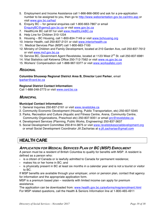- 5. Employment and Income Assistance call 1-866-866-0800 and ask for a pre-application number to be assigned to you, then go to http://www.weborientation.gov.bc.ca/intro.asp or visit www.gov.bc.ca/hsd
- 6. Enquiry BC for general enquiries call 1-800-663-7867 or email EnquiryBC@gems3.gov.bc.ca or visit www.gov.bc.ca
- 7. HealthLink BC call 811or visit www.HealthLinkBC.ca
- 8. Help Line for Children 310-1234
- 9. Housing BC Housing, call 1-800-834-7149 or visit www.bchousing.org
- 10. Interior Health, call 250-837-2131 or visit www.interiorhealth.ca
- 11. Medical Services Plan (MSP) call 1-800-663-7100
- 12. Ministry of Children and Family Development, located at 210 Garden Ave, call 250-837-7612 or visit www.mcf.gov.bc.ca
- 13. Service BC, Government Agent Revelstoke, located at 1123 West 2<sup>nd</sup> St. call 250-837-6981
- 14. Vital Statistics call Kelowna Office 250-712-7562 or visit www.vs.gov.bc.ca
- 15. Workers' Compensation call 1-888-967-5377 or visit www.worksafebc.com

## *REGIONAL*

**Columbia Shuswap Regional District Area B, Director Loni Parker**, email lparker@csrd.bc.ca

## **Regional District Contact Information:**

Call 1-888-248-2773 or visit www.csrd.bc.ca

## *MUNICIPAL*

## **Municipal Contact Information:**

- 1. General Inquiries 250-837-2161 or visit www.revelstoke.ca
- 2. Community Economic Development (Housing, Public Transportation, etc) 250-837-5345
- 3. Parks, Recreation and Culture (Aquatic and Fitness Centre, Arena, Community Centre, Community Organizations, Preschool etc) 250-837-9351 or email prc@revelstoke.ca
- 4. Development Services (Planning, Public Works, Engineering) 250-837-3637
- 5. Social Development Committee 250-814-3875 or visit www.revelstokesocialdevelopment.org or email Social Development Coordinator Jill Zacharias at e.jill.zacharias@gmail.com

# **HEALTH CARE**

## *APPLICATION FOR MEDICAL SERVICES PLAN OF BC (MSP) ENROLMENT*

A person must be a resident of British Columbia to qualify for benefits with MSP. A resident is defined as a person who:

- is a citizen of Canada or is lawfully admitted to Canada for permanent residence;
- makes his or her home in BC; and
- is physically present in BC at least six months in a calendar year and is not a tourist or visitor to BC.

If MSP benefits are available through your employer, union or pension plan, contact that agency for information and the appropriate application form.

MSP is a premium based plan – residents with limited income can apply for premium assistance.

The application can be downloaded from: www.health.gov.bc.ca/exforms/msp/enrolment.html For MSP related questions, call the Health & Seniors Information line at 1-800-465-4911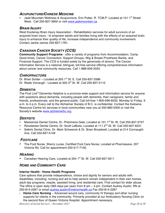## *ACUPUNCTURE/CHINESE MEDICINE*

Jade Mountain Wellness & Acupuncture, Erin Potter, R. TCM.P. Located at 101 1<sup>st</sup> Street West. Call 250-837-3900 or visit www.jademountain.ca.

## *BRAIN INJURY*

West Kootenay Brain Injury Association - Rehabilitation services for adult survivors of an acquired brain injury - to empower adults and families living with the effects of an acquired brain injury to enhance their quality of life, increase independence and community involvement. Contact Jackie James 250-837-1781.

## *CANADIAN CANCER SOCIETY (CCS)*

**Community Support Programs** - offer a variety of programs from Accommodation, Camp Good times, Cancer Connection, Support Groups, Wig & Breast Prosthesis Banks, and Financial Support. The CCS is funded solely by the generosity of donors. The Cancer Information Service is a national, bilingual, toll-free service offering comprehensive information about cancer and community resources. Call 1-888-939-3333.

## *CHIROPRACTORS*

Dr. Brian Snider – Located at 305  $1<sup>st</sup>$  St. E. Call 250-837-2586 Dr. Wade Viznaugh - Located at 300 3rd St. W. Call 250-837-2110

## *DEMENTIA*

The First Link® Dementia Helpline is a province-wide support and information service for anyone with questions about dementia, including people with dementia, their caregivers, family and friends, professionals, and the general public. Call toll-free 1-800-936-6033, Monday to Friday, 9 a.m. to 4 p.m. Every call to the Alzheimer Society of B.C. is confidential. Contact the Kelowna Resource Centre for services in local communities near you at 250-860-0305 or visit the Society's website www.alzheimerbc.org.

## *DENTISTS*

- Mackenzie Dental Centre, Dr. Philomena Gale, Located at 101 1<sup>st</sup> St. W. Call 250-837-5737
- Revelstoke Dental Centre, Dr. Scott LeBuke, Located at 111 2<sup>nd</sup> St. W. Call 250-837-6231
- Selkirk Dental Clinic, Dr. Mark Schwenck & Dr. Brian Broadwell, Located at 314 Connaught Ave. Call 250-837-5149

## *FOOTCARE*

• The Foot Nurse, Sherry Lucas, Certified Foot Care Nurse, Located at Pharmasave, 207 Victoria Rd. Call for appointment 250-517-7100.

## *HEARING*

Canadian Hearing Care, Located at 204 1st St. W. Call 250-837-3011

## *HOME AND COMMUNITY CARE*

## **Interior Health - Home Health Programs**

Care options that provide independence, choice and dignity for seniors and adults with disabilities, including: nursing and aid to help seniors remain independent in their own homes, adult day programs, respite, assisted living, and residential care. First contact for elder abuse. The office is open daily (365 days per year) from 8 am – 4 pm. Contact Audrey Austin, RN at 250-814-2267 or email audrey.austin@interiorhealth.ca Fax 250-814-2287

• **Home Care Nursing** – Advanced wound care, community IV therapy and other nursing supports for clients in the community. Primarily provided at our Ambulatory Nursing Clinic on the second floor of Queen Victoria Hospital. Appointment necessary.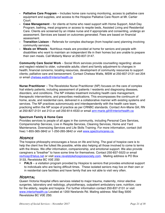- **Palliative Care Program**  Includes home care nursing monitoring, access to palliative care equipment and supplies, and access to the Hospice Palliative Care Room at Mt. Cartier Court.
- **Case Management**  for clients at home who need support with Home Support, Adult Day Program, bathing, meal programs or access to respite beds, Assisted Living and Residential Care. Clients are screened by an intake nurse and if appropriate and consenting, undergo an assessment. Services are based on outcomes generated. Fees are based on financial assessment.
- **Transition Liaison** Referrals for complex discharge (from hospital care) planning involving community services.
- **Meals on Wheels** Nutritious meals are provided at home for seniors and people with disabilities who want to maintain an independent life in their homes but are unable to prepare their own meals. Call Moberly Manor at 250-837-3147.

**Community Care Social Work** – Social Work services provide counselling regarding: abuse and neglect related to older, vulnerable adults; client and family adjustment to changes in health; financial concerns; locating resources, development of community resources to support clients; palliative care and bereavement. Contact Chelsea Watts, MSW at 250-837-2131 ext 204 or email chelsea.watts@interiorhealth.ca

**Nurse Practitioner** – The Revelstoke Nurse Practitioner (NP) focuses on the care of complex frail elderly patients, including assessment of patients / residents and diagnosing diseases, disorders, and conditions. The NP initiates treatment including health care management, therapeutic interventions, and prescribes medications. This encompasses the continuum of home, acute, and residential care, delivered in a collaborative manner with existing systems and services. The NP practices autonomously and interdependently with the health care team, practicing within the NP scope of practice as per CRNBC standards. Contact Ann-Marie Gill, RN at 250-827-2131 ext 213 or cell 250-814-4533 or email ann-marie.gill@interiorhealth.ca

## **Spectrum Family & Home Care**

Provides services to people of all ages in the community, including Personal Care Services, Companionship Services, Live in Respite Services, Cleaning Services, Home and Yard Maintenance, Downsizing Services and Life Skills Training. For more information, contact (toll free) 1-855-365-3842 or 1-250-265-3842 or visit www.spectrumcares.ca

## *HOSPICE*

The hospice philosophy encourages a focus on life and living. The goal of hospice care is to help the client live the fullest life possible, while also helping all those involved to come to terms with the illness. We offer information, companionship, and emotional support. We also provide caregivers a "breather" to have some time for themselves. Contact 250-837-5523 or email revhosp@telus.net or visit www.revelstokehospicesociety.com. Mailing address is PO Box 3133, Revelstoke BC V0E 2S0

**PALS** – a visitation program provided by Hospice to seniors that provides emotional support to individuals who are facing difficult times. These isolated seniors may live on their own or in residential care facilities and have family that are not able to visit very often.

## *HOSPITAL*

Queen Victoria Hospital offers services related to major trauma, maternity, minor elective surgeries, laboratory and radiology, physiotherapy, outpatient ambulatory care, nutrition, care for the elderly, respite and hospice. For further information contact 250-837-2131 or visit www.interiorhealth.ca Located at 1200 Newlands Rd. Mailing address: Mail Bag 5000 Revelstoke BC V0E 2S0.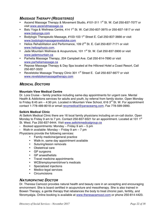## *MASSAGE THERAPY (REGISTERED)*

- Ascend Massage Therapy & Movement Studio, #101-311 1<sup>st</sup> St. W. Call 250-837-7077 or visit www.ascendmassage.ca
- Balu Yoga & Wellness Centre, 414  $1^{\text{st}}$  St. W. Call 250-837-3975 or 250-837-1817 or visit www.baluyoga.com
- Bodylogic Therapeutic Massage, #103-103 1<sup>st</sup> Street E. Call 250-837-3666 or visit www.bodylogicmassagerevelstoke.com
- Helios Rehabilitation and Performance, 109 2<sup>nd</sup> St. E. Call 250-837-7171 or visit www.heliosphysio.com.
- Jade Mountain Wellness & Acupuncture, 101 1<sup>st</sup> St. W. Call 250-837-3900 or visit www.jademountain.ca
- Parhelia Massage Therapy, 204 Campbell Ave. Call 250-814-7690 or visit www.parheliamassage.ca
- Repose Massage Therapy & Day Spa located at the Hillcrest Hotel a Coast Resort, Call 250-837-3322
- Revelstoke Massage Therapy Clinic 301 1<sup>st</sup> Street E. Call 250-837-6677 or visit www.revelstokemassagetherapy.com

## *MEDICAL DOCTORS*

## **Mountain View Medical Centre**

Dr. Lora Cruise – family practice including same-day appointments for urgent care. Mental Health & Addictions services for adults and youth, by referral from family doctor. Open Monday to Friday 8:45 am  $-$  4:30 pm. Located in Mountain View School, 616 3<sup>rd</sup> St. W. For appointment contact 1-778-489-8018 or email revymedical@panaceamg.com. Fax 778-599-0990.

## **Selkirk Medical Clinic**

At Selkirk Medical Clinic there are 16 local family physicians including an on-call doctor. Open Monday to Friday 9 am to 7 pm. Contact 250-837-9321 for an appointment. Located at 101  $1<sup>st</sup>$ St. West. Fax 250-837-9444. Visit www.selkirkmedicalgroup.ca

- Booked appointments: Monday Friday 9 am 5 pm
- Walk-in available: Monday  $-$  Friday 9 am  $-$  7 pm

Physicians provide the following services:

- Family medicine/general practice
- Walk-in, same day appointment available
- Suturing/lesion removals
- Obstetrical care
- GP surgeons
- GP anaesthetists
- Travel medicine appointments
- WCB/employment/driver's medicals
- Specialized injections
- Medico-legal services
- Circumcisions

## *NATUROPATHIC DOCTOR*

Dr. Theresa Camozzi provides natural health and beauty care in an accepting and encouraging environment. She is board certified in acupuncture and mesotherapy. She is also trained in Bowen Therapy, a gentle therapy that rebalances the body to treat chronic pain, fertility, and fibromyalgia. Online booking is available at www.theresacamozzi.com or phone 250-814-4423.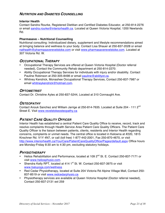## *NUTRITION AND DIABETES COUNSELLING*

## **Interior Health**

Contact Sandra Rourke, Registered Dietitian and Certified Diabetes Educator, at 250-814-2276 or email sandra.rourke@interiorhealth.ca. Located at Queen Victoria Hospital, 1200 Newlands Rd.

## **Pharmasave – Nutritional Counselling**

Nutritional consulting: Individualized dietary, supplement and lifestyle recommendations aimed at bringing balance and wellness to your body. Contact Lisa Shauer at 250-837-2028 or email nathealth@pharmasaverevelstoke.com or visit www.pharmasaverevelstoke.com. Located at 307 Victoria Rd. W.

## *OCCUPATIONAL THERAPY*

- Occupational Therapy Services are offered at Queen Victoria Hospital (Doctor referral needed), Contact the Community Rehab department at 250-814-2270.
- Ability Occupational Therapy Services for individuals with injury and/or disability. Contact Pauline Robinson at 250-305-8498 or email pauline@abilityot.ca.
- Whitney Kendrick, Monashee Occupational Therapy Services, Contact 250-837-7987 or email whitneykendrick@hotmail.com.

## *OPTOMETRIST*

Contact Dr. Christine Ayles at 250-837-5244, Located at 310 Connaught Ave.

## *OSTEOPATHY*

Contact Anouk Sanchez and William Jarrige at 250-814-7635. Located at Suite 204 - 111 2nd Street E. Visit www.revelstokeosteopathy.ca

## *PATIENT CARE QUALITY OFFICER*

Interior Health has established a central Patient Care Quality Office to receive, record, track and resolve complaints through Health Service Area Patient Care Quality Officers. The Patient Care Quality Officer is the liaison between patients, clients, residents and Interior Health regarding concerns, complaints or unmet needs. The central office is located in Kelowna at #220, 1815 Kirschner Rd. V1Y 4N7, or call (toll free) 1-877-442-2001, Fax 250-870-4670, or visit http://www.interiorhealth.ca/YourCare/PatientCareQualityOffice/Pages/default.aspx Office hours are Monday-Friday 8:30 am to 4:30 pm, excluding statutory holidays.

## *PHYSIOTHERAPY*

- Helios Rehabilitation and Performance, located at 109 2<sup>nd</sup> St. E. Contact 250-837-7171 or visit www.heliosphysio.com.
- Shendra Kelly RPT, located at 414 1<sup>st</sup> St. W. Contact 250-837-3975 or visit www.baluyoga.com/wellness
- Red Cedar Physiotherapy, located at Suite 204 Victoria Rd Alpine Village Mall, Contact 250- 837-8519 or visit www.redcedarphysio.ca
- Physiotherapy services are available at Queen Victoria Hospital (Doctor referral needed), Contact 250-837-2131 ext 259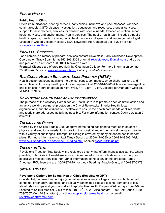## *PUBLIC HEALTH*

## **Public Health Clinic**

Offers immunizations, hearing screens, baby clinics, influenza and pneumococcal vaccines, communicable & STD disease investigation, education, and resources, prenatal services, support for new mothers, services for children with special needs, tobacco education, school health services, and environmental health services. The public health team includes a public health inspector, health unit aide, public health nurses and speech and language pathologist. Located at Queen Victoria Hospital, 1200 Newlands Rd. Contact 250-814-2244 or visit www.interiorhealth.ca.

## *PRENATAL SERVICES*

For a complete directory of prenatal services contact Revelstoke Early Childhood Development Coordinator, Tracy Spannier at 250-805-2305 or email revelstokeecd@gmail.com or drop by and pick one up at Room 120, 1001 Mackenzie Ave.

**Prenatal Classes** are offered regularly by Okanagan College. For more information contact 250-837-4235 or visit www.okanagan.bc.ca *Subsidy available if required.*

## *RED CROSS HEALTH EQUIPMENT LOAN PROGRAM (HELP)*

Health equipment loans available – crutches, canes, commodes, wheelchairs, walkers and more. Referral from any health practitioner required. Call 250-814-0200 & leave a message if no one is on site. Hours of operation Mon, Wed, Fri 10 am – 2 pm. Located at Okanagan College, at 1401  $1^{st}$  St. W.

## *REVELSTOKE HEALTH CARE ADVISORY COMMITTEE*

The purpose of the Advisory Committee on Health Care is to promote open communication and an active working partnership between the City of Revelstoke, Interior Health, local organizations, and the citizens of Revelstoke to ensure the health care needs of all residents and tourists are addressed as fully as possible. For more information contact Dawn Low at 250- 837-2911.

## *THERAPEUTIC RIDING*

Offered by the Selkirk Saddle Club, adaptive horse riding designed to meet each student's physical and emotional needs, for improving the physical and/or mental well-being for people with a variety of challenges. Therapeutic Riding is covered by many extended health benefit plans. For more information contact Tanya Secord at 250-814-0050 or 250-814-8606. Visit www.selkirksaddleclub.ca/therapeutic-riding.html or email tsecord@telus.net.

## *TREES FOR TOTS*

Revelstoke Trees for Tots Society is a registered charity that offers financial assistance, where possible, to families in Revelstoke whose children need to travel outside our community for specialized medical services. For further information, contact any of the directors: Randy Driediger, RCU Insurance, at 250-837-6291 or Linda Beerling, Begbie Glass, at 250-837-5179.

## *SEXUAL HEALTH*

## **Revelstoke Options for Sexual Health Clinic (Revelstoke OPT)**

Confidential, unbiased and non-judgmental services open to all ages. Low cost birth control, condoms, pregnancy, pap tests, and sexually transmitted disease testing. Someone to talk about relationships and your sexual and reproductive health. Drop-in Wednesdays from 7-9 pm. Located at Selkirk Medical Clinic at #201-101 1<sup>St</sup>. St. W. Also contact 1-800-Sex-Sense (1-800-739-7367 Mon-Fri 9 am-9pm) or visit www.optionsforsexualhealth.org or email revelstokeopt@gmail.com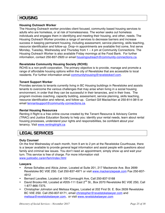# **HOUSING**

## **Housing Outreach Worker**

The Housing Outreach worker provides client focused, community based housing services to adults who are homeless, or at risk of homelessness. The worker seeks out homeless individuals and engages them in identifying and meeting their housing, and other, needs. The Housing Outreach Worker provides a range of services to decrease barriers and increase success in keeping permanent housing, including assessment, service planning, skills teaching, resource identification and follow-up. Drop–in appointments are available first come, first serve Monday, Tuesday, Wednesday and Thursday from  $1 - 4$  pm at Community Connections. The Housing Outreach Worker is also available Friday mornings at the Food Bank. For further information, contact 250-837-2920 or email housingoutreach@community-connections.ca.

## **Revelstoke Community Housing Society (RCHS)**

RCHS is a non-profit corporation. The primary objective is to provide, manage and promote a range of affordable housing options within the city of Revelstoke that are accessible to local residents. For further information email communityhousing@revelstokecf.com.

## **Tenant Support Worker**

Provides services to tenants currently living in BC Housing buildings in Revelstoke and assists tenants to overcome the various challenges that may arise when living in a social housing environment, in order that they can be successful in their tenancies, and in their lives. The program involves coaching, capacity building, assessment, service planning, skills teaching, resource identification and referral, and follow-up. Contact Gill Maclachlan at 250-814-3815 or email tennantsupport@community-connections.ca.

## **Rental Housing Resources**

Renting it Right is a free online course created by the Tenant Resource & Advisory Centre (TRAC) and Justice Education Society to help you: identify your rental needs, learn about rental housing processes, understand your rights and responsibilities, be confident about your tenancy. Visit www.rentingitright.ca

# **LEGAL SERVICES**

## **Duty Counsel**

On the first Wednesday of each month, from 9 am to 2 pm at the Revelstoke Courthouse, there is a lawyer available to provide general legal information and assist people with questions about family and criminal law issues. You don't need an appointment, simply show up and wait your turn. This service is free of charge. For more information visit www.justicebc.ca/en/fam/index.html

#### **Lawyers**

- Aimee Schalles and Alicia Joiner, Located at Suite 201, 217 Mackenzie Ave. Box 2699 Revelstoke BC V0E 2S0. Call 250-837-4971 or visit www.mackenziepeak.com Fax 250-837- 4912
- Bernard Lavallee, Located at 109 Connaught Ave, Call 250-837-5168
- David Brooks-Hill, Located at #205-111 East 2<sup>nd</sup> St., Box 2070 Revelstoke BC V0E 2S0, Call 1-877-866-7375.
- Christopher Johnston and Melissa Klages, Located at 202 First St. E. Box 2639 Revelstoke BC V0E 2S0. Call 250-837-6171, email christopher@revelstokelawyer.com and melissa@revelstokelawyer.com, or visit www.revelstokelawyer.com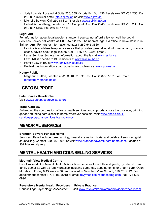- Jody Lownds, Located at Suite 206, 555 Victoria Rd. Box 436 Revelstoke BC V0E 2S0, Call 250-837-3793 or email info@bjlaw.ca or visit www.bjlaw.ca
- Michelle Bowlen. Call 250-814-2475 or visit www.selkirklaw.ca
- Robert A. Lundberg, Located at 119 Campbell Ave. Box 2940 Revelstoke BC V0E 2S0, Call 250-837-5196, Fax 250-837-4746

## **Legal Aid**

For information about legal problems and/or if you cannot afford a lawyer, call the Legal Services Society call centre at 1-866-577-2525. The nearest legal aid office to Revelstoke is in Salmon Arm. For further information contact 1-250-545-3666.

- Lawline is a toll-free telephone service that provides general legal information and, in some cases, advice about legal issues. Call 1-866-577-2525, press 7.
- Legal Services Society has information about the law at www.lss.bc.ca
- LawLINK is specific to BC residents at www.lawlink.bc.ca
- Family Law in BC at www.familylaw.lss.bc.ca
- PovNet has information about poverty law problems at www.povnet.org

## **Notary Public**

Meghann Hutton, Located at #103, 103  $2^{nd}$  St East, Call 250-837-6716 or Email: mhutton@notaries.bc.ca

# **LGBTQ SUPPORT**

## **Safe Spaces Revelstoke**

Visit www.safespacesrevelstoke.org

#### **Trans Care BC**

Enhancing the coordination of trans health services and supports across the province, bringing gender-affirming care closer to home wherever possible. Visit www.phsa.ca/ourservices/programs-services/trans-care-bc

## **MEMORIAL SERVICES**

## **Brandon-Bowers Funeral Home**

Services offered include: pre-planning, funeral, cremation, burial and celebrant services, grief counselling. Contact 250-837-2029 or visit www.brandonbowersfuneralhome.com. Located at 301 Mackenzie Ave.

# **MENTAL HEALTH AND COUNSELLING SERVICES**

## **Mountain View Medical Centre**

Lora Cruise M.D. – Mental Health & Addictions services for adults and youth, by referral from family doctor as well as family practice including same-day appointments for urgent care. Open Monday to Friday 8:45 am  $-$  4:30 pm. Located in Mountain View School, 616 3<sup>rd</sup> St. W. For appointment contact 1-778-489-8018 or email revymedical@panaceamg.com. Fax 778-599- 0990.

## **Revelstoke Mental Health Providers in Private Practice**

Counselling/ Psychology/ Assessment – visit www.revelstokeprivatemhproviders.weebly.com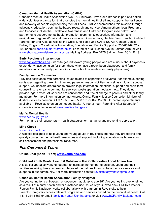## **Canadian Mental Health Association (CMHA)**

Canadian Mental Health Association (CMHA) Shuswap-Revelstoke Branch is part of a nationwide, volunteer organization that promotes the mental health of all and supports the resilience and recovery of people experiencing mental illness. CMHA accomplishes this mission through advocacy, education, community-based research and service. Among others, local Programs and Services include the Revelstoke Awareness and Outreach Program (see below), and partnering to support mental health promotion (community education, information and navigation). Regional/Provincial Services include: Bounce Back, Reclaim Your Health, Confident Parents/Thriving Kids, as well as the Crisis Line 1-888-353-CARE (2273). Contact Denise Butler, Program Coordinator- Information, Education and Family Support at 250-832-8477 ext. 102 or email denise.butler@cmha.bc.ca. Located at 433 Hudson Ave. in Salmon Arm, or visit www.shuswap-revelstoke.cmha.bc.ca. Mailing Address: Box 3275 Salmon Arm, BC V1E 4S1

#### **Early Psychosis Intervention**

www.earlypsychosis.ca - website geared toward young people who are curious about psychosis or wonder what's going on for them, those who have already been diagnosed, and family members and community partners (such as school counsellors or family physicians).

#### **Family Justice Counsellor**

Provides assistance with parenting issues related to separation or divorce - for example, sorting out issues regarding parenting time and parenting responsibilities, as well as child and spousal support. Counsellors are trained to provide legal information, emotional support and short-term counselling, referrals to community services, post-separation mediation, etc. They do not provide legal advice. All services are confidential and free of charge to parents and other family members. For more information contact Andrea Oland, Family Justice Counsellor, Ministry of Justice Services, Vernon BC at 1-250-549-5588 or 1-888-282-2283. In-person appointments available in Revelstoke on an as needed basis. A free, 3 hour "Parenting After Separation" course is available online at www.familieschange.ca

#### **Men's Mental Health**

#### www.headsupguys.ca

For men and their supporters – health strategies for managing and preventing depression.

## **Mind Check**

#### www.mindcheck.ca

A website designed to help youth and young adults in BC check out how they are feeling and quickly connect to mental health resources and support, including education, self-care tools, self-assessment and professional resources.

## *FOR CHILDREN & YOUTH*

## **Online Chat (noon – 1 am) www.youthinbc.com**

## **Child and Youth Mental Health & Substance Use Collaborative Local Action Team**

A local collaborative working together to increase the number of children, youth and their families receiving timely access to integrated mental health and substance use services and supports in our community. For more information contact revelstokecymhsu@gmail.com

#### **Canadian Mental Health Association Family Navigator**

Are you caring for a child/youth or dependent adult up to age 25? Are you feeling overwhelmed as a result of mental health and/or substance use issues of your loved one? CMHA's Interior Region Family Navigator works collaboratively with partners in Revelstoke to help Parents/Caregivers access relevant programs and services based on their individual needs. Call 1-844-234-6663 or email family.navigator@cmha.bc.ca or visit www.BCFamilyNavigator.com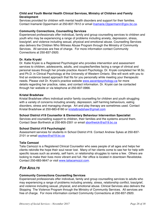## **Child and Youth Mental Health Clinical Services, Ministry of Children and Family Development**

Services provided for children with mental health disorders and support for their families. Contact Inamarié Oppermann at 250-837-7612 or email Inamarie.Oppermann@gov.bc.ca.

#### **Community Connections, Counselling Services**

Experienced professionals offer individual, family and group counselling services to children and youth who may be experiencing a range of problems including anxiety, depression, stress, loss/grief, and violence including sexual, physical and emotional abuse. Counselling Services also delivers the Children Who Witness Abuse Program through the Ministry of Community Services. All services are free of charge. For more information contact Community Connections at 250-837-2920.

#### **Dr. Katie Kryski**

Dr. Katie Kryski is a Registered Psychologist who provides intervention and assessment services to children, adolescents, adults, and couples/families facing a range of clinical and personal issues through her private practice *Ascent Psychology.* Dr. Kryski completed her M.Sc. and Ph.D. in Clinical Psychology at the University of Western Ontario. She will work with you to find an evidence based approach that fits for you personally while meeting your therapeutic needs. Please visit Dr. Kryski's practice website www.ascentpsychology.ca for more details regarding her practice, rates, and contact information. Dr. Kryski can be contacted through her website or via telephone at 250-837-0966.

#### **Kristal Bradshaw**

Kristal Bradshaw offers individual and/or family counselling for children and youth struggling with a variety of concerns including anxiety, depression, self harming behaviours, eating disorders, stress and managing change. Art and play therapy are sometimes used. Contact Kristal Bradshaw at 250-683-8180 or kristalbradshaw@gmail.com

#### **School District #19 Counsellor & Elementary Behaviour Intervention Specialist**

Services and counselling support to children, their families and the systems around them. Contact Sean Borthwick at 250-805-2301 or email sborthwick@sd19.bc.ca

## **School District #19 Psychologist**

Assessment services for students in School District #19. Contact Andrew Sykes at 250-837- 2101 or email asykes@sd19.bc.ca

## **Talia Camozzi**

Talia Camozzi is a Registered Clinical Counsellor who sees people of all ages and helps her clients rekindle the hope their soul never lost. Many of her clients come to see her for help with specific issues such as anxiety, self harm, or relationship struggles to name a few. Others are looking to make their lives more vibrant and full. Her office is located in downtown Revelstoke. Contact 250-683-9647 or visit www.taliacamozzi.com.

## *FOR ADULTS*

## **Community Connections Counselling Services**

Experienced professionals offer individual, family and group counselling services to adults who may experiencing a range of problems including anxiety, stress, relationship conflict, loss/grief, and violence including sexual, physical, and emotional abuse. Clinical Services also delivers the Stopping The Violence Program through the Ministry of Community Services. All services are free of charge. For more information contact Community Connections at 250-837-2920.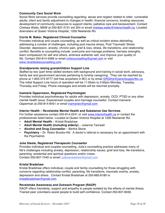## **Community Care Social Work**

Social Work services provide counselling regarding: abuse and neglect related to older, vulnerable adults; client and family adjustment to changes in health; financial concerns; locating resources, development of community resources to support clients; palliative care and bereavement. Contact Chelsea Watts, MSW at 250-837-2131 ext 204 or email chelsea.watts@interiorhealth.ca. Located downstairs at Queen Victoria Hospital, 1200 Newlands Rd.

## **Corrie M. Baker, Registered Clinical Counsellor**

Provides individual and couple counselling, as well as critical incident stress debriefing, addressing a number of challenges, including post trauma stress, Post Traumatic Stress Disorder, depression, anxiety, chronic pain, grief & loss, stress, life transitions, and relationship conflict. Benefits to counselling include: overcome and manage problems, harness strengths, learn compassion for self and others, embrace authentic self, and improve your quality of life. Contact 250-814-4569 or email cmbcounselling@gmail.com or visit www.revelstokecounselling.com

## **Grandparents raising grandchildren Support Line**

Staffed by two (part time) skilled workers with background and training in social work, advocacy, family law and government services pertaining to kinship caregiving. They can be reached by phone at 1-855-474-9777 (toll free anywhere in BC) or by email GRGline@parentsupportbc.ca The initial Support Line hours of operation will be 11:00am to 2:00pm Monday, Tuesday, Thursday and Friday. Phone messages and emails will be returned promptly.

#### **Inamarie Oppermann, Registered Psychologist**

Provides individual psychotherapy for adults with depression, anxiety, OCD, PTSD or any other mental health issue. Experienced couples and marriage counsellor. Contact Inamarie Opperman at 250-814-8451 or email inamarieo@gmail.com

#### **Interior Health – Revelstoke Mental Health and Substance Use Services**

For further assistance contact 250-814-2241 or visit www.interiorhealth.ca or contact the professionals listed below. Located at Queen Victoria Hospital at 1200 Newlands Rd.

- **Adult Mental Health**  Kristal Bradshaw
- **Adult Mental Health (including elderly)**  Julianne Tarzwell
- **Alcohol and Drug Counsellor** Bertha Stone
- **Psychiatry**  Dr. Robin Brooks-Hill. A doctor's referral is necessary for an appointment with the Psychiatrist.

#### **Julia Steele, Registered Therapeutic Counsellor**

Provides individual and couples counselling. Julia's counselling practice addresses many of life's challenges including anxiety, depression, relationship issues, grief and loss, life transitions, parenting, existential and spiritual questions and/or crises. Contact 250-837-7440 or email: julesrevelstoke@gmail.com

#### **Kristal Bradshaw**

Kristal Bradshaw offers individual, couple and family counselling for those struggling with concerns regarding relationship conflict, parenting, life transitions, traumatic events, anxiety, depression and stress. Contact Kristal Bradshaw at 250-683-8180 or kristalbradshaw@gmail.com

#### **Revelstoke Awareness and Outreach Program (RAOP)**

RAOP offers friendship, support and empathy to people isolated by the effects of mental illness. Trained peer volunteers assist people to build self-confidence. Contact 250-837-6030.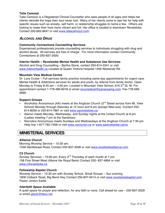## **Talia Camozzi**

Talia Camozzi is a Registered Clinical Counsellor who sees people of all ages and helps her clients rekindle the hope their soul never lost. Many of her clients come to see her for help with specific issues such as anxiety, self harm, or relationship struggles to name a few. Others are looking to make their lives more vibrant and full. Her office is located in downtown Revelstoke. Contact 250-683-9647 or visit www.taliacamozzi.com.

## *ALCOHOL AND DRUG*

## **Community Connections Counselling Services**

Experienced professionals provide counselling services to individuals struggling with drug and alcohol abuse. All services are free of charge. For more information contact Community Connections at 250-837-2920.

#### **Interior Health – Revelstoke Mental Health and Substance Use Services**

Alcohol and Drug Counselling – Bertha Stone, contact 250-814-2241 or visit www.interiorhealth.ca Located at Queen Victoria Hospital 1200 Newlands Rd.

#### **Mountain View Medical Centre**

Dr. Lora Cruise – Full services family practice including same-day appointments for urgent care. Mental Health & Addictions services for adults and youth, by referral from family doctor. Open Monday to Friday 8:45 am  $-$  4:30 pm. Located in Mountain View School, 616 3<sup>rd</sup> St. W. For appointment contact 1-778-489-8018 or email revymedical@panaceamg.com. Fax 778-599- 0990.

#### **Support Groups**

- Alcoholics Anonymous (AA) meets at the Anglican Church ( $2^{nd}$  Street across from Mt. View School) Monday through Saturday at 12 noon and 8 pm (except Wed eve). Contact 250- 814-8059 or 250-814-7861 or visit www.aarevelstoke.ca
- Alanon meets Monday, Wednesday, and Sunday nights at the United Church at 8 pm (Ladies meeting 7 pm at the Sandman)
- Narcotics Anonymous meets Sundays and Wednesdays at the Anglican Church at 7:30 pm. Help line 1-877-782-7409 or visit www.narconon.ca or www.aarevelstoke.ca/na

# **MINISTERIAL SERVICES**

#### **Alliance Church**

Morning Worship Service – 10:30 am. 1559 Illecillewaet Road, Contact 250-837-4008 or visit www.revelstokealliance.com

## **C3 Church**

Sunday Services – 10:00 am; Every  $2^{nd}$  Thursday of each month at 7 pm. 108 First Street West (Above the Royal Bank) Contact 250- 837-4894 or visit www.c3revelstoke.ca

#### **Fellowship Baptist Church**

Worship Service – 10:30 am with Sunday School, Small Groups – Sun evening 1806 Colbeck Road, Big Bend Hwy Contact 250-837-9414 or visit www.revelstokebaptist.com Pastor Jordon Eadie

## *Interfaith Space Available*

A quiet space for prayer and reflection, for any faith or none. Call ahead for use – 250-837-2029 or email glsulz@telus.net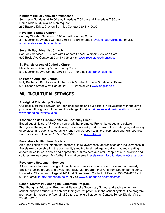## **Kingdom Hall of Jehovah's Witnesses**

Services – Sundays at 10:00 am, Tuesdays 7:00 pm and Thursdays 7:30 pm Home bible study available on request 250 Basford Drive, Clayton Schmidt, Contact 250-814-2000

#### **Revelstoke United Church**

Sunday Worship Service – 10:00 am with Sunday School. 314 Mackenzie Avenue Contact 250-837-3198 or email revelstokeuc@telus.net or visit www.revelstokeunitedchurch.com

#### **Seventh Day Adventist Church**

Saturday Services – 9:30 am with Sabbath School, Worship Service 11 am 502 Boyle Ave Contact 250-344-4795 or visit www.revelstokeadventist.ca

#### **St. Francis of Assisi Catholic Church**

Mass times – Saturday 5 pm, Sunday 9 am 510 Mackenzie Ave Contact 250-837-2071 or email sanfran@telus.net

#### **St Peter's Anglican Church**

Holy Eucharist, Family Worship Service & Sunday School – Sundays at 10 am 622 Second Street West Contact 250-463-2475 or visit www.anglican.ca

# **MULTI-CULTURAL SERVICES**

#### **Aboriginal Friendship Society**

Our goal is create a network of Aboriginal people and supporters in Revelstoke with the aim of promoting Aboriginal cultures and knowledge. Email aboriginalrevelstoke@gmail.com or visit www.aboriginalrevelstoke.ca

#### **Association des Francophones de Kootenay Ouest**

Based out of Nelson, AFKO is a non-profit that promotes French language and culture throughout the region. In Revelstoke, it offers a weekly radio show, a French-language directory of services, and events celebrating French culture open to all Francophones and Francophiles. For more information call 1-250-352-3516 or visit www.afko.ca.

#### **Revelstoke Multicultural Society**

An organization of volunteers that fosters cultural awareness, appreciation and inclusiveness in Revelstoke by celebrating the community's multicultural heritage and diversity, and creating opportunities to learn about and appreciate cultures here and afar. People of all ethnicities and cultures are welcomed. For further information email revelstokemulticulturalsociety@gmail.com

#### **Revelstoke Settlement Services**

A free service to assist immigrants to Canada. Services include one to one support, weekly English practice groups and a volunteer ESL tutor program that runs from September to June. Located at Okanagan College at 1401 1st Street West. Contact Jill Pratt at 250-837-4235 ext. 6502 or email jpratt@okanagan.bc.ca or visit www.okanagan.bc.ca/settlement

#### **School District #19 Aboriginal Education Program**

The Aboriginal Education Program at Revelstoke Secondary School and each elementary school, supports students to achieve their greatest potential in the school system. The program promotes high regard to Aboriginal Culture among all students. Contact School District #19 at 250-837-2101.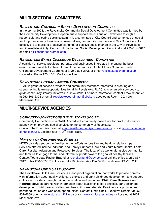# **MULTI-SECTORAL COMMITTEES**

## *REVELSTOKE COMMUNITY SOCIAL DEVELOPMENT COMMITTEE*

In the spring 2008, the Revelstoke Community Social Development Committee was formed by the Community Development Department to support the citizens of Revelstoke through a responsible and caring social system. It is a committee of City Council and comprised of social sector professionals, business representatives, community members and City Councillors. Its objective is to facilitate proactive planning for positive social change in the City of Revelstoke and immediate vicinity. Contact Jill Zacharias, Social Development Coordinator at 250-814-3875 or email e.jill.zacharias@gmail.com

## *REVELSTOKE EARLY CHILDHOOD DEVELOPMENT COMMITTEE*

A coalition of service providers, parents, and businesses interested in creating the best environment possible for the children of the community. Contact Tracy Spannier, Early Childhood Development Coordinator at 250-805-2305 or email revelstokeecd@gmail.com Located at Room 120, 1001 Mackenzie Ave.

## *REVELSTOKE LITERACY ACTION COMMITTEE*

RLAC is group of service providers and community members interested in creating and strengthening learning opportunities for all in Revelstoke. RLAC acts as an advisory body to guide community literacy initiatives in Revelstoke. For more information contact Tracy Spannier at 250-805-2305 or email revelstokecoordinator@cbal.org Located at Room 120, 1001 Mackenzie Ave.

# **MULTI-SERVICE AGENCIES**

## *COMMUNITY CONNECTIONS (REVELSTOKE) SOCIETY*

Community Connections is a CARF Accredited, community-based, not for profit multi-service agency which provides social services to the community of Revelstoke. Contact The Executive Team at executive@communtiy-connections.ca or visit www.communityconnections.ca. Located at 314, 2<sup>nd</sup> Street East.

## *MINISTRY OF CHILDREN AND FAMILIES*

MCFD provides support to families in their efforts for positive and healthy relationships. Services offered include Individual and Family Support, Child and Youth Mental Health, Foster Care, Respite, Adoption and Protective Services. The local office works along side community and families to engage formal and informal supports toward the goal of healthy families. Contact Team Lead Rachel Braund at rachel.braund@gov.bc.ca or call the office at 250-837- 7612 or fax 250-837-3519. Located at 210 Garden Ave Box 3259 Revelstoke BC V0E 2S0.

## *REVELSTOKE CHILD CARE SOCIETY*

The Revelstoke Child Care Society is a non-profit organization that works to provide parents with information about quality child care choices and early childhood development and support child care providers through training, education and resources. **Child Care Resource and Referral** provides parents with information about quality child care choices, early childhood development, child care subsidies, and free child care referrals. Provides care provider and parent education and workshop opportunities. Contact Linda Chell, Executive Director at 250- 837-6669 or email revelstokeccrr@live.ca or visit www.childcarechoices.ca Located at 1001 Mackenzie Ave.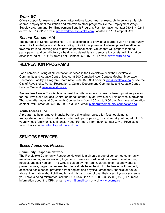# *WORK BC*

Offers support for resume and cover letter writing, labour market research, interview skills, job search, employment facilitation and referrals to other programs like the Employment Wage Subsidy program and Self-Employment Benefit Program. For information contact 250-814-0244 or fax 250-814-0256 or visit www.workbc-revelstoke.com Located at 117 Campbell Ave.

## *SCHOOL DISTRICT #19*

The purpose of School District No. 19 (Revelstoke) is to provide all learners with an opportunity to acquire knowledge and skills according to individual potential, to develop positive attitudes towards life-long learning and to develop personal social values that will prepare them to participate in and contribute to, a healthy, sustainable and democratic society. Administration office located at 501 11<sup>th</sup> Street East. Contact 250-837-2101 or visit www.sd19.bc.ca

# **RECREATION PROGRAMS**

For a complete listing of all recreation services in the Revelstoke, visit the Revelstoke Community and Aquatic Centre, located at 600 Campbell Ave. Contact Meghan MacIsaac, Recreation Facility & Program Coordinator 250-837-9351 or email prc@revelstoke.ca or see the City of Revelstoke, Parks, Recreation & Culture Department, Community and Aquatic Centre Leisure Guide at www.revelstoke.ca

**Recreation Pass** – For clients who meet the criteria as low income, outreach provides passes for the Revelstoke Aquatic Centre, on behalf of the City of Revelstoke. This service is provided Thursday afternoons at Community Connections from 1:00 pm to 3:00 pm. For more information contact Patti Larson at 250-837-2920 ext 28 or email plarson@community-connections.ca

## **Youth Access Fund**

A program to help remove financial barriers (including registration fees, equipment, transportation, and other costs associated with participation), for children & youth aged 6 to 19 years whose family exhibits financial need. For more information contact City of Revelstoke Youth Liaison at info@stokeyouthnetwork.ca.

# **SENIORS SERVICES**

## *ELDER ABUSE AND NEGLECT*

## **Community Response Network**

The Revelstoke Community Response Network is a diverse group of concerned community members and agencies working together to create a coordinated response to adult abuse, neglect, and self-neglect. The CRN is guided by the Adult Guardianship Act and works to prevent abuse, neglect or self-neglect. Individuals have the right to be treated with respect, access to basic needs, protection from neglect and physical, emotional, financial or sexual abuse, information about civil and legal rights, and control over their lives. If you or someone you know is being mistreated, call the BC Crisis Line at 1-888-353-CARE (2273). For more information about the CRN, email revycrn@gmail.com or visit www.bccrns.ca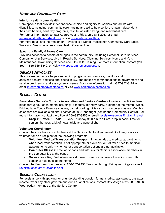## *HOME AND COMMUNITY CARE*

## **Interior Health Home Health**

Care options that provide independence, choice and dignity for seniors and adults with disabilities, including: community care nursing and aid to help seniors remain independent in their own homes, adult day programs, respite, assisted living, and residential care. For further information contact Audrey Austin, RN at 250-814-2267 or email audrey.austin@interiorhealth.ca or visit www.interiorhealth.ca.

For more detail and information on Revelstoke's Nurse Practitioner, Community Care Social Work and Meals on Wheels, see Health Care section.

#### **Spectrum Family & Home Care**

Provides services to people of all ages in the community, including Personal Care Services, Companionship Services, Live in Respite Services, Cleaning Services, Home and Yard Maintenance, Downsizing Services and Life Skills Training. For more information, contact (toll free) 1-855-365-3842, or visit www.spectrumhomesupport.ca.

## *SENIORS ADVOCATE*

This government office helps seniors find programs and services, monitors and analyzes seniors' services and issues in BC, and makes recommendations to government and service providers to address systemic issues. For more information call 1-877-952-3181 or email info@seniorsadvocatebc.ca or visit www.seniorsadvocatebc.ca.

## *SENIORS CENTRE*

**Revelstoke Senior's Citizens Association and Seniors Centre** - A variety of activities take place throughout each month including: a monthly birthday party, a dinner of the month, Whist, Bridge, Jane Fonda Exercise classes, carpet bowling, billiards, and computer classes. Monthly calendars are available on site. Located at 603 Connaught (behind the Community Centre). For more information contact the office at 250-837-9456 or email revelstokeseniors@rctvonline.net

**Drop-in Coffee & Social** – Every Thursday 9:30 am to 11 am, drop in social time for seniors, humour, a bit of news, trivia and general chat.

## **Volunteer Coordinator**

Contact the coordinator of volunteers at the Seniors Centre if you would like to register as a volunteer or be a recipient of the following programs:

- **Volunteer Medical Transportation Program**: In-town rides to medical appointments when local transportation is not appropriate or available; out-of-town rides to medical appointments only – when other transportation options are not available.
- **Computer Classes**: Free workshops and tutorials for Seniors association members in the computer lab at the centre.
- **Snow shovelling:** Volunteers assist those in need (who have a lower income) with seasonal help outside the home.

Contact the Program Coordinator at 250-837-9456 Tuesday through Friday mornings or email revelstokeseniors@rctvonline.net

## *SENIORS COUNSELLOR*

For assistance with applying for or understanding pension forms, medical assistance, bus pass, income tax or any other government forms or applications, contact Bev Wiege at 250-837-9456 Wednesday mornings at the Seniors Centre.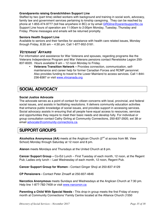## **Grandparents raising Grandchildren Support Line**

Staffed by two (part time) skilled workers with background and training in social work, advocacy, family law and government services pertaining to kinship caregiving. They can be reached by phone at 1-855-474-9777 (toll free anywhere in BC) or by email GRGline@parentsupportbc.ca Support Line hours of operation are 11:00am to 2:00pm Monday, Tuesday, Thursday and Friday. Phone messages and emails will be returned promptly.

#### **Seniors Health Support Line**

Available to seniors and their families for assistance with health care related issues, Monday through Friday, 8:30 am – 4:30 pm. Call 1-877-952-3181.

## *VETERANS' AFFAIRS*

For information and assistance for War Veterans and spouses, regarding programs like the Veterans Independence Program and War Veterans pensions contact Revelstoke Legion 250- 837-6020. Hours available 9 am – 12 noon Monday to Friday.

• **Veterans Transition Network –** Provides connection, communication, selfmaintenance and career help for former Canadian Forces and RCMP personnel. Also provides funding to travel to the Lower Mainland to access services. Call 1-844- 236-8387 or visit www.vtncanada.org

# **SOCIAL ADVOCACY**

#### **Social Justice Advocate**

The advocate serves as a point of contact for citizen concerns with local, provincial, and federal social issues, and assists in facilitating resolutions. It delivers community education activities that enhance public knowledge of social issues, and provides support in accessing services. Social advocacy assists in ensuring that all people have equal access to resources, services and opportunities they require to meet their basic needs and develop fully. For individual or group consultation contact Cathy Girling at Community Connections, 250-837-2920, ext 38 or email advocate@community-connections.ca.

# **SUPPORT GROUPS**

Alcoholics Anonymous (AA) meets at the Anglican Church (2<sup>nd</sup> st across from Mt. View School) Monday through Saturday at 12 noon and 8 pm.

**Alanon** meets Mondays and Thursdays at the United Church at 8 pm.

**Cancer Support Group –** Co-Ed Lunch – First Tuesday of each month, 12 noon, at the Regent Pub; Ladies only lunch – Last Wednesday of each month, 12 noon, Regent Pub.

**Cancer Support Group for Women -** Contact Ginger Shoji at 250-837-4129

**CP Pensioners -** Contact Peter Zmaeff at 250-837-4846

**Narcotics Anonymous** meets Sundays and Wednesdays at the Anglican Church at 7:30 pm. Help line 1-877-782-7409 or visit www.narconon.ca

**Parenting a Child With Special Needs -** This drop-in group meets the first Friday of every month at Community Connections' Family Centre located at the Alliance Church (1550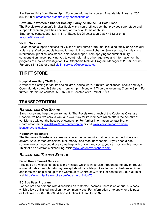Illecillewaet Rd.) from 10am-12pm. For more information contact Amanda MacIntosh at 250 837-2920 or amacintosh@community-connections.ca.

#### **Revelstoke Women's Shelter Society, Forsythe House – A Safe Place**

The Revelstoke Women's Shelter Society is a non-profit society that provides safe refuge and support to women (and their children) at risk of all forms of abuse. Emergency contact 250-837-1111 or Executive Director at 250-837-4382 or email forsythe@telus.net

#### **Victim Services**

Police-based support services for victims of any crime or trauma, including family and/or sexual violence, staffed by people trained to help victims, free of charge. Services may include crisis intervention, practical assistance, emotional support, help applying for criminal injury compensation, accompanying you to court, referral to other agencies and information on the progress of a police investigation. Call Stephanie Melnyk, Program Manager at 250-837-9260, Fax 250-837-5033 or email victim.services@revelstoke.ca

## **THRIFT STORE**

#### **Hospital Auxiliary Thrift Store**

A variety of clothing for adults and children, house ware, furniture, appliances, books and toys. Open Monday through Saturday, 1 pm to 4 pm; Monday & Thursday evenings 7 pm to 9 pm. For further information contact 250-837-5052 Located at 315 West 2<sup>nd</sup> St.

## **TRANSPORTATION**

## *REVELSTOKE CAR SHARE*

Save money and help the environment: The Revelstoke branch of the Kootenay Carshare Cooperative has two cars, a van, and 4x4 truck for its members which offers the benefits of vehicle use without the hassles of ownership. For further information contact Branch Coordinator, email revelstoke@carsharecoop.ca or visit www.carsharecoop.ca/carlocations/revelstoke/.

#### **Kootenay Rideshare**

The Kootenay Rideshare is a free service to the community that helps to connect riders and drivers. Save carbon emissions, fuel, money, and meet new people! If you need a ride somewhere or if you could use some help with driving and costs, you can post on this website. Think of it as electronic hitchhiking! Visit www.kootenayrideshare.com

## *REVELSTOKE TRANSIT SYSTEM*

#### **Fixed Route Transit Service**

Provided by a wheelchair accessible minibus which is in service throughout the day on regular routes Monday through Saturday, except statutory holidays. A route map, schedules of times and fares can be picked up at the Community Centre or City Hall, or contact 250-837-3888 or visit http://www.cityofrevelstoke.com/index.aspx?nid=70

#### **BC Bus Pass Program**

For seniors and persons with disabilities on restricted incomes, there is an annual bus pass which allows unlimited travel on the community bus. For information or to apply for this pass, call toll-free 1-866-866-0800 (Choose Option 4, then Option 3).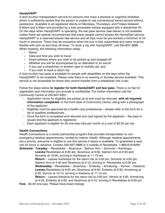## **HandyDART**

A door-to-door transportation service for persons who have a physical or cognitive limitation, which is sufficiently severe that the person is unable to use conventional transit service without assistance. Available to all registered clients on Mondays, Thursdays, and Fridays between 8:30am and 4:00pm and provided by a fully accessible vehicle equipped with a wheelchair lift. On the days when HandyDART is operating, the taxi pass service (see below) is not available unless there are special circumstances that mean people cannot access the HandyDart service. HandyDART is a reserved shared ride service and all trips must be pre-booked a minimum of 24 hours in advance. There may be occasions when the bus is fully subscribed and users must be flexible with pick up and drop off times. To book a trip with HandyDART, call 250-837-3888. When booking, the following information ready:

- Name
- Date and time you wish to travel
- Exact address where you wish to be picked up and dropped off
- Whether you will be accompanied by an attendant or an escort
- If you use a wheelchair or another type of mobility aid, and
- If you wish to book a return trip.

A door-to-door taxi pass is available for people with disabilities on the days when the HandyDART is not available. Please note there is no evening or Sunday service available. This service is not accessible for those who cannot transfer from a wheelchair into a taxi.

Follow the steps below **to register for both HandyDART and taxi pass**. There is no fee for registration and information you provide is confidential. For further information call the Community Centre at 250-837-9351.

- Application forms for eligibility are picked up at and must be returned, **with all required information completed**, to the front desk of Community Centre, along with a photograph of the applicant.
- Eligibility must be approved by a health care professional please refer to the form for a list of qualified professionals.
- Once the form is completed and returned and card signed by the applicant the pass is issued and the applicant is registered.
- Each applicant is eligible for 20 one-way trips per month at a cost of \$2.00 per trip.

## **Health Connections**

Health Connections is a transit partnership program that provides transportation to nonemergency medical appointments, funded by Interior Health. Although medical appointments are a priority, everyone is eligible to use this service if space is available. To guarantee a seat, call 24 hours in advance. Contact 250-837-3888 or if outside of Revelstoke, 1-866-618-8294. **Schedule: Tuesday** – Revelstoke – Sicamous - Salmon Arm – Sorrento – Kamloops

**Leaves** Revelstoke at 8:00 am, Sicamous at 9:00, Salmon Arm at 9:30 and Sorrento at 10:00, arriving in Kamloops at 11:15 am.

**Return** – Leaves Kamloops for the return trip at 3:00 pm, Sorrento at 4:05 pm, Salmon Arm at 4:40 and Sicamous at 5:10, arriving in Revelstoke at 6:00 pm. **Wednesday** – Revelstoke – Sicamous – Enderby – Armstrong – Vernon – Kelowna **Leaves** Revelstoke at 8:00 am, Sicamous at 9:00, Enderby at 9:30, Armstrong at 9:50, Vernon at 10:15, arriving in Kelowna at 11:15 am.

**Return** – Leaves Kelowna for the return trip at 3:00 pm, Vernon at 4:00, Armstrong at 4:25, Enderby at 4:50, and Sicamous at 5:10, arriving in Revelstoke at 6:00 pm.

**Fare** - \$5.00 one-way. Please have exact change.